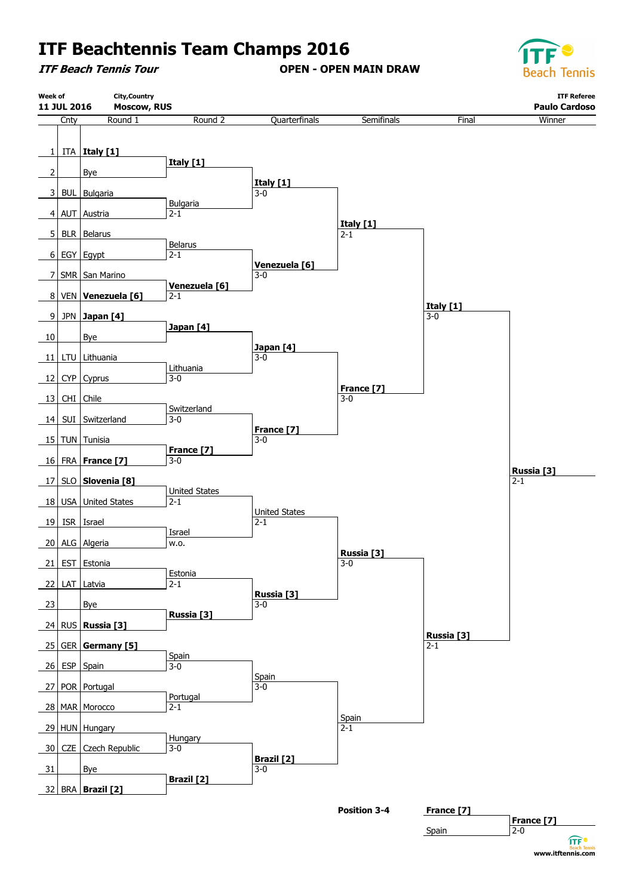**ITF Beach Tennis Tour**

**OPEN - OPEN MAIN DRAW**



**www.itftennis.com** 

**ITF®** 

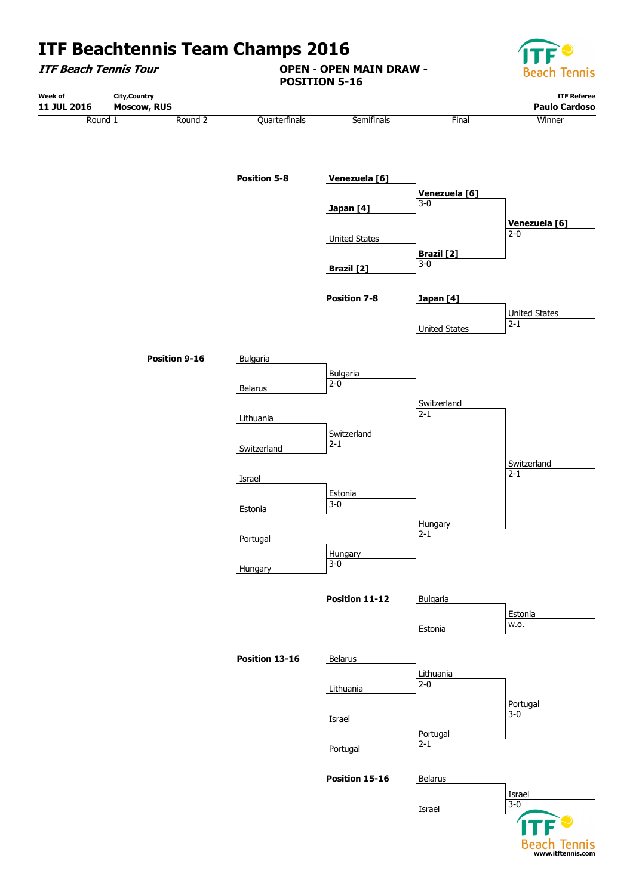

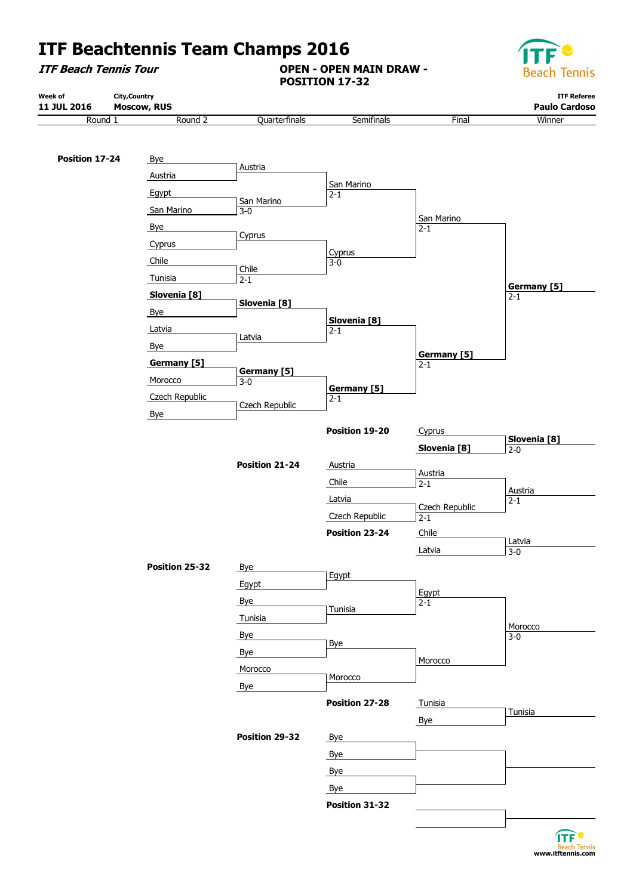**ITF Beach Tennis Tour**

**OPEN - OPEN MAIN DRAW - POSITION 17-32**



| 11 JUL 2016<br>Round 1 | Moscow, RUS<br>Round 2 | Quarterfinals                 | Semifinals                  | Final              | <b>Paulo Cardoso</b><br>Winner |
|------------------------|------------------------|-------------------------------|-----------------------------|--------------------|--------------------------------|
|                        |                        |                               |                             |                    |                                |
| Position 17-24         |                        |                               |                             |                    |                                |
|                        | Bye<br>Austria         | Austria                       |                             |                    |                                |
|                        |                        |                               | San Marino                  |                    |                                |
|                        | Egypt                  | San Marino                    | $2 - 1$                     |                    |                                |
|                        | San Marino             | $3 - 0$                       |                             | San Marino         |                                |
|                        | Bye                    | Cyprus                        |                             | $2 - 1$            |                                |
|                        | Cyprus                 |                               | Cyprus                      |                    |                                |
|                        | Chile                  | Chile                         | $3 - 0$                     |                    |                                |
|                        | Tunisia                | $2 - 1$                       |                             |                    | Germany [5]                    |
|                        | Slovenia [8]           | Slovenia <sup>[8]</sup>       |                             |                    | $2 - 1$                        |
|                        | <b>Bye</b>             |                               | Slovenia [8]                |                    |                                |
|                        | Latvia                 | Latvia                        | $2 - 1$                     |                    |                                |
|                        | Bye                    |                               |                             | <b>Germany</b> [5] |                                |
|                        | Germany [5]            |                               |                             | $2 - 1$            |                                |
|                        | Morocco                | <b>Germany</b> [5]<br>$3 - 0$ |                             |                    |                                |
|                        | Czech Republic         |                               | <b>Germany</b> [5]<br>$2-1$ |                    |                                |
|                        | <b>Bye</b>             | Czech Republic                |                             |                    |                                |
|                        |                        |                               | Position 19-20              | Cyprus             |                                |
|                        |                        |                               |                             | Slovenia [8]       | Slovenia [8]<br>$2 - 0$        |
|                        |                        | Position 21-24                | Austria                     |                    |                                |
|                        |                        |                               | Chile                       | Austria<br>$2 - 1$ |                                |
|                        |                        |                               | Latvia                      |                    | Austria<br>$2 - 1$             |
|                        |                        |                               | Czech Republic              | Czech Republic     |                                |
|                        |                        |                               | Position 23-24              | $2 - 1$<br>Chile   |                                |
|                        |                        |                               |                             |                    | Latvia                         |
|                        |                        |                               |                             | Latvia             | $3 - 0$                        |
|                        | Position 25-32         | Bye                           | Egypt                       |                    |                                |
|                        |                        | Egypt                         |                             | Egypt              |                                |
|                        |                        | Bye                           | Tunisia                     | $2 - 1$            |                                |
|                        |                        | Tunisia                       |                             |                    | Morocco                        |
|                        |                        | Bye                           | <b>Bye</b>                  |                    | $3 - 0$                        |
|                        |                        | Bye                           |                             | Morocco            |                                |
|                        |                        | Morocco                       | Morocco                     |                    |                                |
|                        |                        | Bye                           |                             |                    |                                |
|                        |                        |                               | Position 27-28              | Tunisia            |                                |
|                        |                        |                               |                             | Bye                | Tunisia                        |
|                        |                        | Position 29-32                | Bye                         |                    |                                |
|                        |                        |                               | Bye                         |                    |                                |
|                        |                        |                               | <b>Bye</b>                  |                    |                                |
|                        |                        |                               | <b>Bye</b>                  |                    |                                |
|                        |                        |                               |                             |                    |                                |

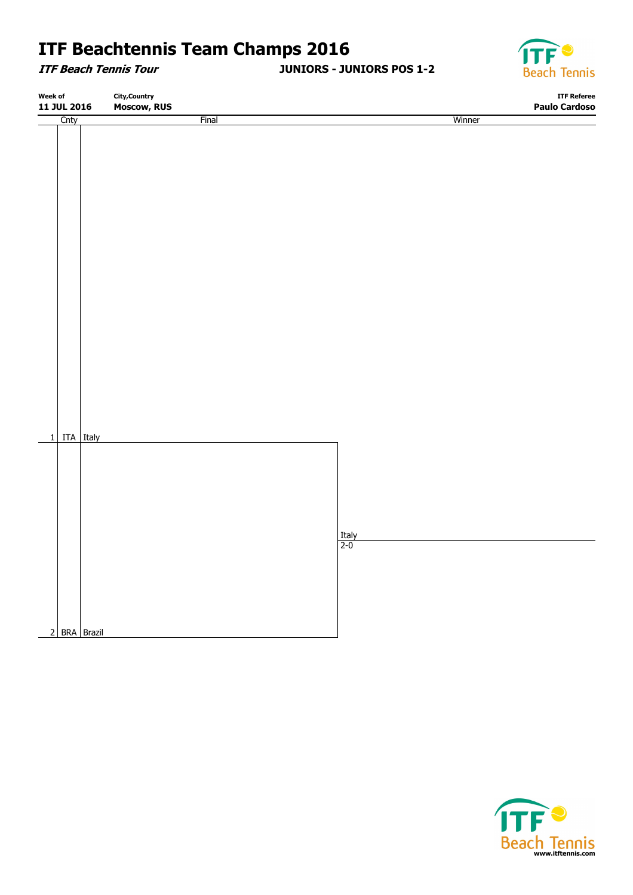**ITF Beach Tennis Tour**

**JUNIORS - JUNIORS POS 1-2**



| Week of<br>11 JUL 2016 |                             | <b>City, Country</b> |                     | <b>ITF Referee</b><br><b>Paulo Cardoso</b> |  |
|------------------------|-----------------------------|----------------------|---------------------|--------------------------------------------|--|
|                        |                             | Moscow, RUS          |                     |                                            |  |
| Cnty                   |                             | <b>Final</b>         | Winner              |                                            |  |
|                        |                             |                      |                     |                                            |  |
|                        | 1 ITA Italy<br>2 BRA Brazil |                      | $\frac{Italy}{2-0}$ |                                            |  |

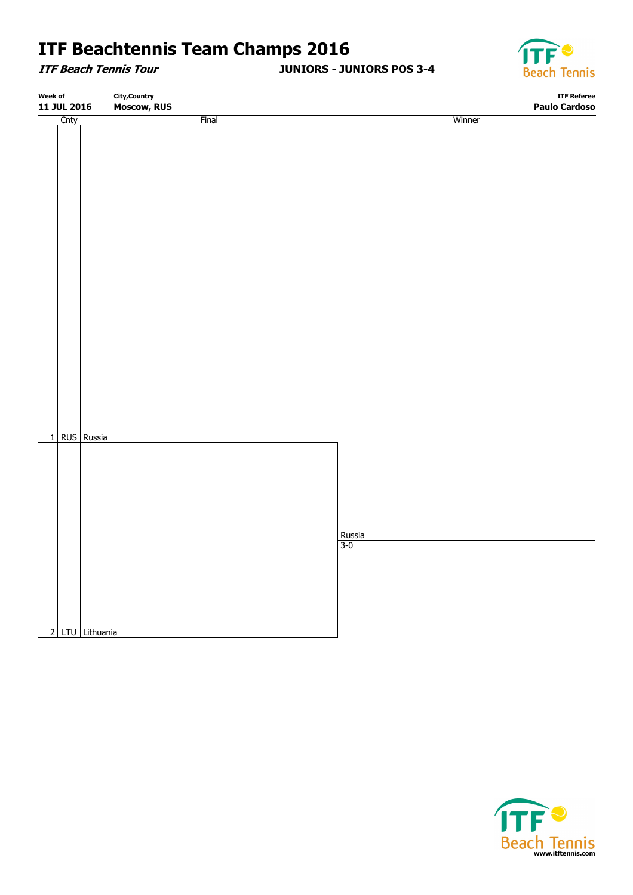**ITF Beach Tennis Tour**

**JUNIORS - JUNIORS POS 3-4**



| Week of     |      | <b>City, Country</b> |                    |  |               |                      | <b>ITF Referee</b> |
|-------------|------|----------------------|--------------------|--|---------------|----------------------|--------------------|
| 11 JUL 2016 |      |                      | <b>Moscow, RUS</b> |  |               | <b>Paulo Cardoso</b> |                    |
|             | Cnty |                      | Final              |  |               | Winner               |                    |
|             |      |                      |                    |  |               |                      |                    |
|             |      |                      |                    |  |               |                      |                    |
|             |      |                      |                    |  |               |                      |                    |
|             |      |                      |                    |  |               |                      |                    |
|             |      |                      |                    |  |               |                      |                    |
|             |      |                      |                    |  |               |                      |                    |
|             |      |                      |                    |  |               |                      |                    |
|             |      |                      |                    |  |               |                      |                    |
|             |      |                      |                    |  |               |                      |                    |
|             |      |                      |                    |  |               |                      |                    |
|             |      |                      |                    |  |               |                      |                    |
|             |      |                      |                    |  |               |                      |                    |
|             |      |                      |                    |  |               |                      |                    |
|             |      |                      |                    |  |               |                      |                    |
|             |      |                      |                    |  |               |                      |                    |
|             |      |                      |                    |  |               |                      |                    |
|             |      |                      |                    |  |               |                      |                    |
|             |      |                      |                    |  |               |                      |                    |
|             |      |                      |                    |  |               |                      |                    |
|             |      |                      |                    |  |               |                      |                    |
|             |      |                      |                    |  |               |                      |                    |
|             |      |                      |                    |  |               |                      |                    |
|             |      |                      |                    |  |               |                      |                    |
|             |      |                      |                    |  |               |                      |                    |
|             |      |                      |                    |  |               |                      |                    |
|             |      | 1 RUS Russia         |                    |  |               |                      |                    |
|             |      |                      |                    |  |               |                      |                    |
|             |      |                      |                    |  |               |                      |                    |
|             |      |                      |                    |  |               |                      |                    |
|             |      |                      |                    |  |               |                      |                    |
|             |      |                      |                    |  |               |                      |                    |
|             |      |                      |                    |  |               |                      |                    |
|             |      |                      |                    |  |               |                      |                    |
|             |      |                      |                    |  | Russia<br>3-0 |                      |                    |
|             |      |                      |                    |  |               |                      |                    |
|             |      |                      |                    |  |               |                      |                    |
|             |      |                      |                    |  |               |                      |                    |
|             |      |                      |                    |  |               |                      |                    |
|             |      |                      |                    |  |               |                      |                    |
|             |      |                      |                    |  |               |                      |                    |
|             |      |                      |                    |  |               |                      |                    |
|             |      | 2 LTU Lithuania      |                    |  |               |                      |                    |

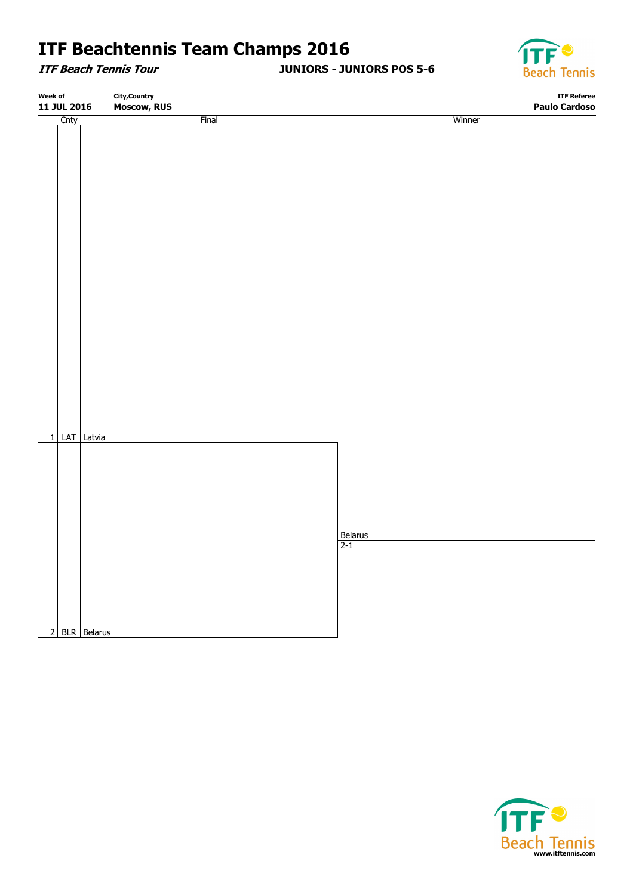**ITF Beach Tennis Tour**

**JUNIORS - JUNIORS POS 5-6**



| Week of<br><b>City, Country</b><br>11 JUL 2016<br><b>Moscow, RUS</b> |      |               | <b>ITF Referee</b> |                                     |                      |
|----------------------------------------------------------------------|------|---------------|--------------------|-------------------------------------|----------------------|
|                                                                      |      |               |                    |                                     | <b>Paulo Cardoso</b> |
|                                                                      | Cnty |               | Final              | Winner                              |                      |
|                                                                      |      |               |                    |                                     |                      |
|                                                                      |      |               |                    |                                     |                      |
|                                                                      |      |               |                    |                                     |                      |
|                                                                      |      |               |                    |                                     |                      |
|                                                                      |      |               |                    |                                     |                      |
|                                                                      |      |               |                    |                                     |                      |
|                                                                      |      |               |                    |                                     |                      |
|                                                                      |      |               |                    |                                     |                      |
|                                                                      |      |               |                    |                                     |                      |
|                                                                      |      |               |                    |                                     |                      |
|                                                                      |      |               |                    |                                     |                      |
|                                                                      |      |               |                    |                                     |                      |
|                                                                      |      |               |                    |                                     |                      |
|                                                                      |      |               |                    |                                     |                      |
|                                                                      |      |               |                    |                                     |                      |
|                                                                      |      |               |                    |                                     |                      |
|                                                                      |      |               |                    |                                     |                      |
|                                                                      |      |               |                    |                                     |                      |
|                                                                      |      |               |                    |                                     |                      |
|                                                                      |      |               |                    |                                     |                      |
|                                                                      |      |               |                    |                                     |                      |
|                                                                      |      |               |                    |                                     |                      |
|                                                                      |      |               |                    |                                     |                      |
|                                                                      |      |               |                    |                                     |                      |
|                                                                      |      |               |                    |                                     |                      |
|                                                                      |      |               |                    |                                     |                      |
|                                                                      |      | 1 LAT Latvia  |                    |                                     |                      |
|                                                                      |      |               |                    |                                     |                      |
|                                                                      |      |               |                    |                                     |                      |
|                                                                      |      |               |                    |                                     |                      |
|                                                                      |      |               |                    |                                     |                      |
|                                                                      |      |               |                    |                                     |                      |
|                                                                      |      |               |                    |                                     |                      |
|                                                                      |      |               |                    |                                     |                      |
|                                                                      |      |               |                    | $\frac{\text{Belarus}}{\text{2-1}}$ |                      |
|                                                                      |      |               |                    |                                     |                      |
|                                                                      |      |               |                    |                                     |                      |
|                                                                      |      |               |                    |                                     |                      |
|                                                                      |      |               |                    |                                     |                      |
|                                                                      |      |               |                    |                                     |                      |
|                                                                      |      |               |                    |                                     |                      |
|                                                                      |      |               |                    |                                     |                      |
|                                                                      |      | 2 BLR Belarus |                    |                                     |                      |
|                                                                      |      |               |                    |                                     |                      |

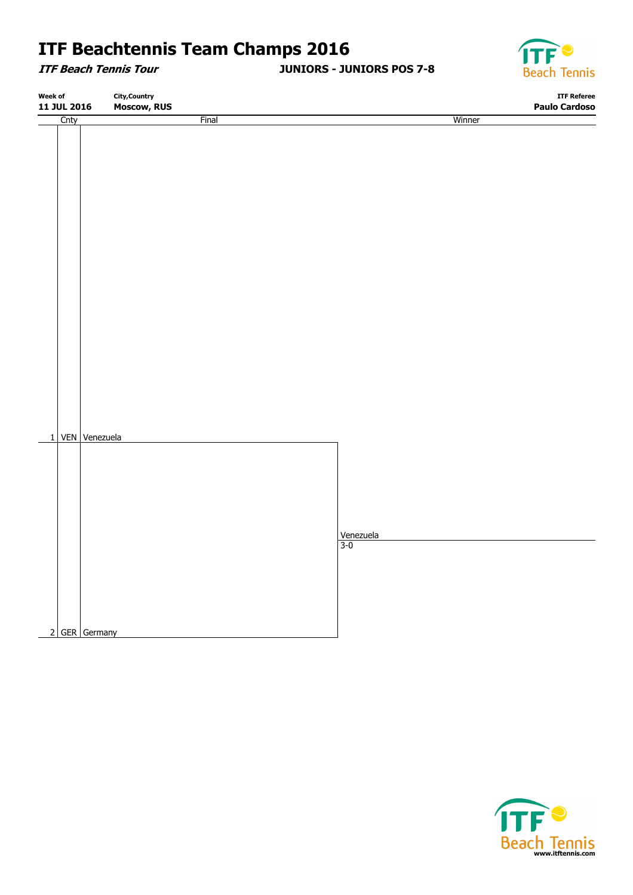**ITF Beach Tennis Tour**

**JUNIORS - JUNIORS POS 7-8**



| <b>Final</b><br>Winner<br>Cnty | Week of<br>11 JUL 2016 |  |                    | <b>City, Country</b> |  |                      |
|--------------------------------|------------------------|--|--------------------|----------------------|--|----------------------|
|                                |                        |  | <b>Moscow, RUS</b> |                      |  | <b>Paulo Cardoso</b> |
|                                |                        |  |                    |                      |  |                      |
|                                |                        |  |                    |                      |  |                      |
|                                |                        |  |                    |                      |  |                      |
|                                |                        |  |                    |                      |  |                      |
|                                |                        |  |                    |                      |  |                      |
|                                |                        |  |                    |                      |  |                      |
|                                |                        |  |                    |                      |  |                      |
|                                |                        |  |                    |                      |  |                      |
|                                |                        |  |                    |                      |  |                      |
|                                |                        |  |                    |                      |  |                      |
|                                |                        |  |                    |                      |  |                      |
|                                |                        |  |                    |                      |  |                      |
|                                |                        |  |                    |                      |  |                      |
|                                |                        |  |                    |                      |  |                      |
|                                |                        |  |                    |                      |  |                      |
|                                |                        |  |                    |                      |  |                      |
|                                |                        |  |                    |                      |  |                      |
|                                |                        |  |                    |                      |  |                      |
|                                |                        |  |                    |                      |  |                      |
|                                |                        |  |                    |                      |  |                      |
|                                |                        |  |                    |                      |  |                      |
|                                |                        |  |                    |                      |  |                      |
|                                |                        |  |                    |                      |  |                      |
|                                |                        |  |                    |                      |  |                      |
|                                |                        |  |                    |                      |  |                      |
| 1 VEN Venezuela                |                        |  |                    |                      |  |                      |
|                                |                        |  |                    |                      |  |                      |
|                                |                        |  |                    |                      |  |                      |
|                                |                        |  |                    |                      |  |                      |
|                                |                        |  |                    |                      |  |                      |
|                                |                        |  |                    |                      |  |                      |
|                                |                        |  |                    |                      |  |                      |
|                                |                        |  |                    |                      |  |                      |
|                                |                        |  |                    |                      |  |                      |
| Venezuela<br>3-0               |                        |  |                    |                      |  |                      |
|                                |                        |  |                    |                      |  |                      |
|                                |                        |  |                    |                      |  |                      |
|                                |                        |  |                    |                      |  |                      |
|                                |                        |  |                    |                      |  |                      |
|                                |                        |  |                    |                      |  |                      |
|                                |                        |  |                    |                      |  |                      |
| 2 GER Germany                  |                        |  |                    |                      |  |                      |